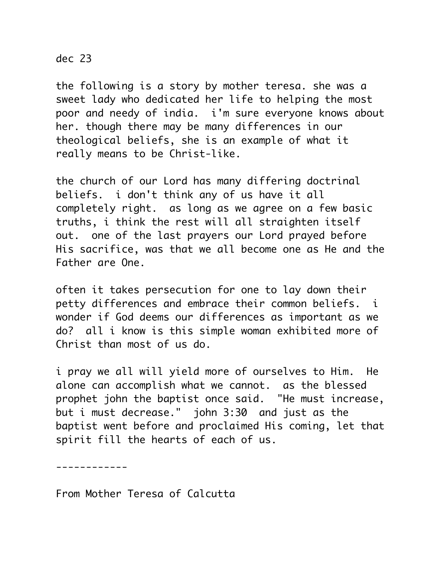## dec 23

the following is a story by mother teresa. she was a sweet lady who dedicated her life to helping the most poor and needy of india. i'm sure everyone knows about her. though there may be many differences in our theological beliefs, she is an example of what it really means to be Christ-like.

the church of our Lord has many differing doctrinal beliefs. i don't think any of us have it all completely right. as long as we agree on a few basic truths, i think the rest will all straighten itself out. one of the last prayers our Lord prayed before His sacrifice, was that we all become one as He and the Father are One.

often it takes persecution for one to lay down their petty differences and embrace their common beliefs. i wonder if God deems our differences as important as we do? all i know is this simple woman exhibited more of Christ than most of us do.

i pray we all will yield more of ourselves to Him. He alone can accomplish what we cannot. as the blessed prophet john the baptist once said. "He must increase, but i must decrease." john 3:30 and just as the baptist went before and proclaimed His coming, let that spirit fill the hearts of each of us.

------------

From Mother Teresa of Calcutta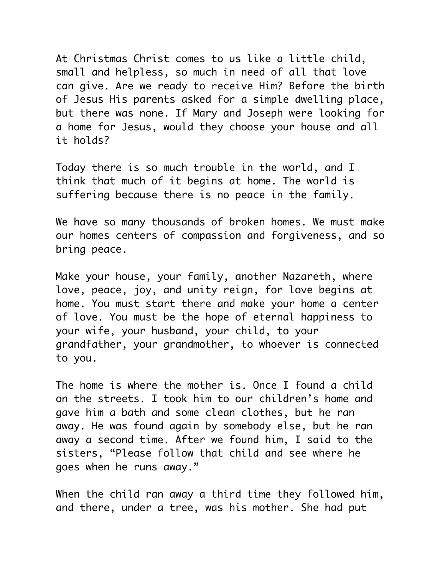At Christmas Christ comes to us like a little child, small and helpless, so much in need of all that love can give. Are we ready to receive Him? Before the birth of Jesus His parents asked for a simple dwelling place, but there was none. If Mary and Joseph were looking for a home for Jesus, would they choose your house and all it holds?

Today there is so much trouble in the world, and I think that much of it begins at home. The world is suffering because there is no peace in the family.

We have so many thousands of broken homes. We must make our homes centers of compassion and forgiveness, and so bring peace.

Make your house, your family, another Nazareth, where love, peace, joy, and unity reign, for love begins at home. You must start there and make your home a center of love. You must be the hope of eternal happiness to your wife, your husband, your child, to your grandfather, your grandmother, to whoever is connected to you.

The home is where the mother is. Once I found a child on the streets. I took him to our children's home and gave him a bath and some clean clothes, but he ran away. He was found again by somebody else, but he ran away a second time. After we found him, I said to the sisters, "Please follow that child and see where he goes when he runs away."

When the child ran away a third time they followed him, and there, under a tree, was his mother. She had put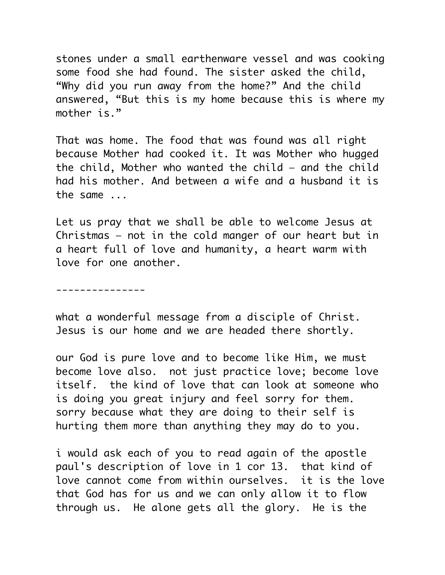stones under a small earthenware vessel and was cooking some food she had found. The sister asked the child, "Why did you run away from the home?" And the child answered, "But this is my home because this is where my mother is."

That was home. The food that was found was all right because Mother had cooked it. It was Mother who hugged the child, Mother who wanted the child — and the child had his mother. And between a wife and a husband it is the same ...

Let us pray that we shall be able to welcome Jesus at Christmas — not in the cold manger of our heart but in a heart full of love and humanity, a heart warm with love for one another.

---------------

what a wonderful message from a disciple of Christ. Jesus is our home and we are headed there shortly.

our God is pure love and to become like Him, we must become love also. not just practice love; become love itself. the kind of love that can look at someone who is doing you great injury and feel sorry for them. sorry because what they are doing to their self is hurting them more than anything they may do to you.

i would ask each of you to read again of the apostle paul's description of love in 1 cor 13. that kind of love cannot come from within ourselves. it is the love that God has for us and we can only allow it to flow through us. He alone gets all the glory. He is the